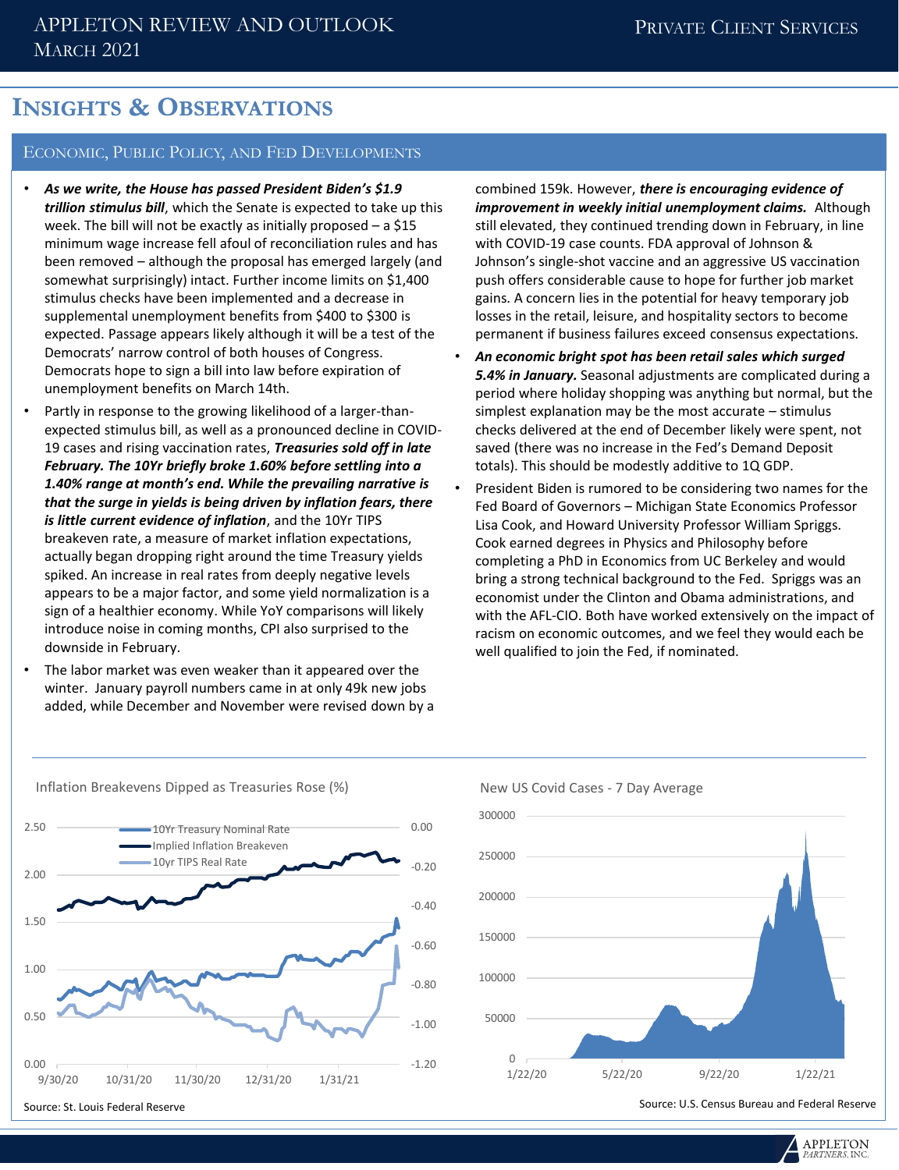## **INSIGHTS & OBSERVATIONS**

#### ECONOMIC, PUBLIC POLICY, AND FED DEVELOPMENTS

- *As we write, the House has passed President Biden's \$1.9 trillion stimulus bill*, which the Senate is expected to take up this week. The bill will not be exactly as initially proposed – a \$15 minimum wage increase fell afoul of reconciliation rules and has been removed – although the proposal has emerged largely (and somewhat surprisingly) intact. Further income limits on \$1,400 stimulus checks have been implemented and a decrease in supplemental unemployment benefits from \$400 to \$300 is expected. Passage appears likely although it will be a test of the Democrats' narrow control of both houses of Congress. Democrats hope to sign a bill into law before expiration of unemployment benefits on March 14th.
- Partly in response to the growing likelihood of a larger-thanexpected stimulus bill, as well as a pronounced decline in COVID-19 cases and rising vaccination rates, *Treasuries sold off in late February. The 10Yr briefly broke 1.60% before settling into a 1.40% range at month's end. While the prevailing narrative is that the surge in yields is being driven by inflation fears, there is little current evidence of inflation*, and the 10Yr TIPS breakeven rate, a measure of market inflation expectations, actually began dropping right around the time Treasury yields spiked. An increase in real rates from deeply negative levels appears to be a major factor, and some yield normalization is a sign of a healthier economy. While YoY comparisons will likely introduce noise in coming months, CPI also surprised to the downside in February.
- The labor market was even weaker than it appeared over the winter. January payroll numbers came in at only 49k new jobs added, while December and November were revised down by a

combined 159k. However, *there is encouraging evidence of improvement in weekly initial unemployment claims.* Although still elevated, they continued trending down in February, in line with COVID-19 case counts. FDA approval of Johnson & Johnson's single-shot vaccine and an aggressive US vaccination push offers considerable cause to hope for further job market gains. A concern lies in the potential for heavy temporary job losses in the retail, leisure, and hospitality sectors to become permanent if business failures exceed consensus expectations.

- *An economic bright spot has been retail sales which surged 5.4% in January.* Seasonal adjustments are complicated during a period where holiday shopping was anything but normal, but the simplest explanation may be the most accurate – stimulus checks delivered at the end of December likely were spent, not saved (there was no increase in the Fed's Demand Deposit totals). This should be modestly additive to 1Q GDP.
- President Biden is rumored to be considering two names for the Fed Board of Governors – Michigan State Economics Professor Lisa Cook, and Howard University Professor William Spriggs. Cook earned degrees in Physics and Philosophy before completing a PhD in Economics from UC Berkeley and would bring a strong technical background to the Fed. Spriggs was an economist under the Clinton and Obama administrations, and with the AFL-CIO. Both have worked extensively on the impact of racism on economic outcomes, and we feel they would each be well qualified to join the Fed, if nominated.



#### New US Covid Cases - 7 Day Average



**APPLETON**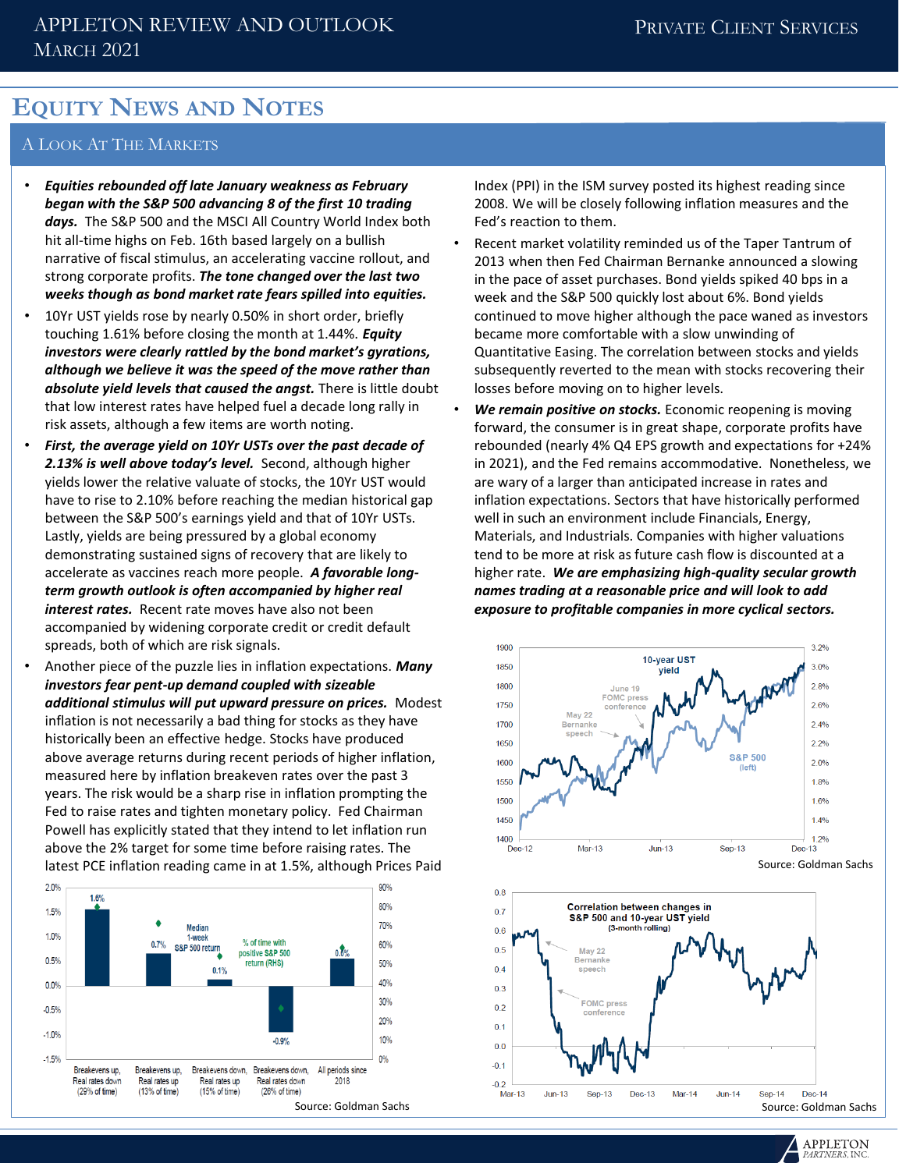## **EQUITY NEWS AND NOTES**

#### A LOOK AT THE MARKETS

- *Equities rebounded off late January weakness as February began with the S&P 500 advancing 8 of the first 10 trading days.* The S&P 500 and the MSCI All Country World Index both hit all-time highs on Feb. 16th based largely on a bullish narrative of fiscal stimulus, an accelerating vaccine rollout, and strong corporate profits. *The tone changed over the last two weeks though as bond market rate fears spilled into equities.*
- 10Yr UST vields rose by nearly 0.50% in short order, briefly touching 1.61% before closing the month at 1.44%. *Equity investors were clearly rattled by the bond market's gyrations, although we believe it was the speed of the move rather than absolute yield levels that caused the angst.* There is little doubt that low interest rates have helped fuel a decade long rally in risk assets, although a few items are worth noting.
- *First, the average yield on 10Yr USTs over the past decade of 2.13% is well above today's level.* Second, although higher yields lower the relative valuate of stocks, the 10Yr UST would have to rise to 2.10% before reaching the median historical gap between the S&P 500's earnings yield and that of 10Yr USTs. Lastly, yields are being pressured by a global economy demonstrating sustained signs of recovery that are likely to accelerate as vaccines reach more people. *A favorable longterm growth outlook is often accompanied by higher real interest rates.* Recent rate moves have also not been accompanied by widening corporate credit or credit default spreads, both of which are risk signals.
- Another piece of the puzzle lies in inflation expectations. *Many investors fear pent-up demand coupled with sizeable additional stimulus will put upward pressure on prices.* Modest inflation is not necessarily a bad thing for stocks as they have historically been an effective hedge. Stocks have produced above average returns during recent periods of higher inflation, measured here by inflation breakeven rates over the past 3 years. The risk would be a sharp rise in inflation prompting the Fed to raise rates and tighten monetary policy. Fed Chairman Powell has explicitly stated that they intend to let inflation run above the 2% target for some time before raising rates. The latest PCE inflation reading came in at 1.5%, although Prices Paid



Index (PPI) in the ISM survey posted its highest reading since 2008. We will be closely following inflation measures and the Fed's reaction to them.

- Recent market volatility reminded us of the Taper Tantrum of 2013 when then Fed Chairman Bernanke announced a slowing in the pace of asset purchases. Bond yields spiked 40 bps in a week and the S&P 500 quickly lost about 6%. Bond yields continued to move higher although the pace waned as investors became more comfortable with a slow unwinding of Quantitative Easing. The correlation between stocks and yields subsequently reverted to the mean with stocks recovering their losses before moving on to higher levels.
- *We remain positive on stocks.* Economic reopening is moving forward, the consumer is in great shape, corporate profits have rebounded (nearly 4% Q4 EPS growth and expectations for +24% in 2021), and the Fed remains accommodative. Nonetheless, we are wary of a larger than anticipated increase in rates and inflation expectations. Sectors that have historically performed well in such an environment include Financials, Energy, Materials, and Industrials. Companies with higher valuations tend to be more at risk as future cash flow is discounted at a higher rate. *We are emphasizing high-quality secular growth names trading at a reasonable price and will look to add exposure to profitable companies in more cyclical sectors.*





**APPLETON** 

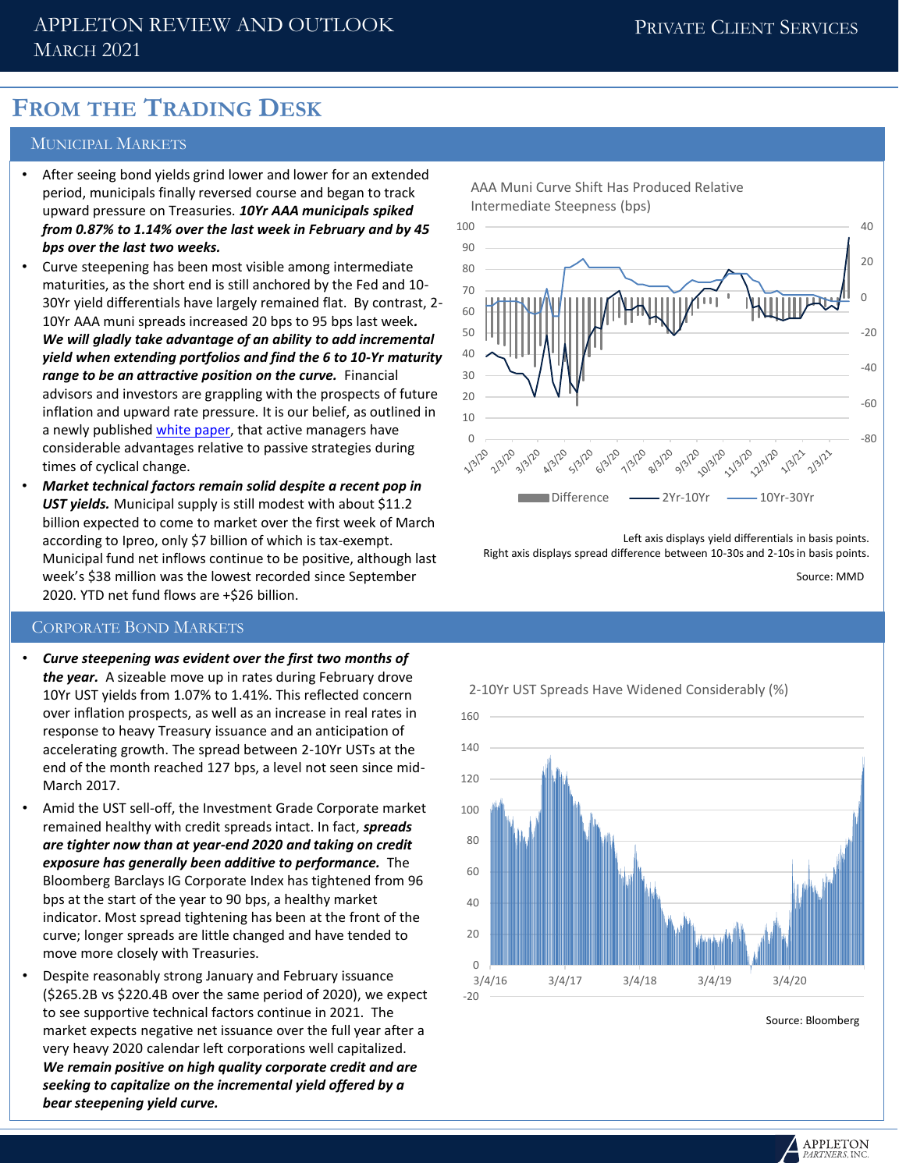### APPLETON REVIEW AND OUTLOOK MARCH 2021

# **FROM THE TRADING DESK**

#### MUNICIPAL MARKETS

- After seeing bond yields grind lower and lower for an extended period, municipals finally reversed course and began to track upward pressure on Treasuries. *10Yr AAA municipals spiked from 0.87% to 1.14% over the last week in February and by 45 bps over the last two weeks.*
- Curve steepening has been most visible among intermediate maturities, as the short end is still anchored by the Fed and 10- 30Yr yield differentials have largely remained flat. By contrast, 2- 10Yr AAA muni spreads increased 20 bps to 95 bps last week*. We will gladly take advantage of an ability to add incremental yield when extending portfolios and find the 6 to 10-Yr maturity range to be an attractive position on the curve.* Financial advisors and investors are grappling with the prospects of future inflation and upward rate pressure. It is our belief, as outlined in a newly published [white paper](file:///C:/Users/jill/AppData/Local/Microsoft/Windows/INetCache/Content.Outlook/2R18ZVKM/advisors and investors are grappling with the prospects of future inflation and upward rate pressure.  It is our belief, as outlined in a white paper last week, that active managers have considerable advantages relative to passive strategies during times of cyclical change.), that active managers have considerable advantages relative to passive strategies during times of cyclical change.
- *Market technical factors remain solid despite a recent pop in UST yields.* Municipal supply is still modest with about \$11.2 billion expected to come to market over the first week of March according to Ipreo, only \$7 billion of which is tax-exempt. Municipal fund net inflows continue to be positive, although last week's \$38 million was the lowest recorded since September 2020. YTD net fund flows are +\$26 billion.

#### CORPORATE BOND MARKETS

- *Curve steepening was evident over the first two months of the year.* A sizeable move up in rates during February drove 10Yr UST yields from 1.07% to 1.41%. This reflected concern over inflation prospects, as well as an increase in real rates in response to heavy Treasury issuance and an anticipation of accelerating growth. The spread between 2-10Yr USTs at the end of the month reached 127 bps, a level not seen since mid-March 2017.
- Amid the UST sell-off, the Investment Grade Corporate market remained healthy with credit spreads intact. In fact, *spreads are tighter now than at year-end 2020 and taking on credit exposure has generally been additive to performance.* The Bloomberg Barclays IG Corporate Index has tightened from 96 bps at the start of the year to 90 bps, a healthy market indicator. Most spread tightening has been at the front of the curve; longer spreads are little changed and have tended to move more closely with Treasuries.
- Despite reasonably strong January and February issuance (\$265.2B vs \$220.4B over the same period of 2020), we expect to see supportive technical factors continue in 2021. The market expects negative net issuance over the full year after a very heavy 2020 calendar left corporations well capitalized. *We remain positive on high quality corporate credit and are seeking to capitalize on the incremental yield offered by a bear steepening yield curve.*



Left axis displays yield differentials in basis points. Right axis displays spread difference between 10-30s and 2-10s in basis points.

Source: MMD



Source: Bloomberg

**APPLETON**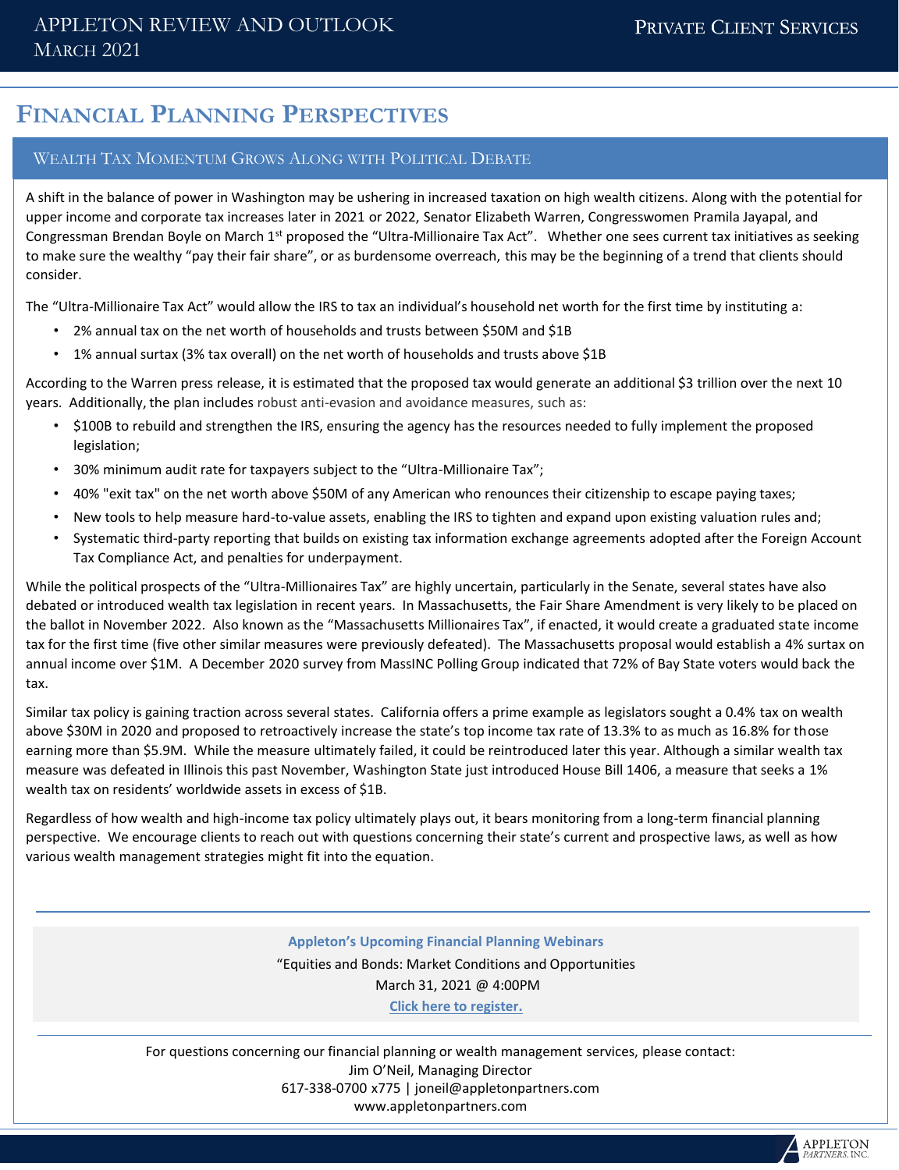## **FINANCIAL PLANNING PERSPECTIVES**

#### WEALTH TAX MOMENTUM GROWS ALONG WITH POLITICAL DEBATE

A shift in the balance of power in Washington may be ushering in increased taxation on high wealth citizens. Along with the potential for upper income and corporate tax increases later in 2021 or 2022, Senator Elizabeth Warren, Congresswomen Pramila Jayapal, and Congressman Brendan Boyle on March 1<sup>st</sup> proposed the "Ultra-Millionaire Tax Act". Whether one sees current tax initiatives as seeking to make sure the wealthy "pay their fair share", or as burdensome overreach, this may be the beginning of a trend that clients should consider.

The "Ultra-Millionaire Tax Act" would allow the IRS to tax an individual's household net worth for the first time by instituting a:

- 2% annual tax on the net worth of households and trusts between \$50M and \$1B
- 1% annual surtax (3% tax overall) on the net worth of households and trusts above \$1B

According to the Warren press release, it is estimated that the proposed tax would generate an additional \$3 trillion over the next 10 years. Additionally, the plan includes robust anti-evasion and avoidance measures, such as:

- \$100B to rebuild and strengthen the IRS, ensuring the agency has the resources needed to fully implement the proposed legislation;
- 30% minimum audit rate for taxpayers subject to the "Ultra-Millionaire Tax";
- 40% "exit tax" on the net worth above \$50M of any American who renounces their citizenship to escape paying taxes;
- New tools to help measure hard-to-value assets, enabling the IRS to tighten and expand upon existing valuation rules and;
- Systematic third-party reporting that builds on existing tax information exchange agreements adopted after the Foreign Account Tax Compliance Act, and penalties for underpayment.

While the political prospects of the "Ultra-Millionaires Tax" are highly uncertain, particularly in the Senate, several states have also debated or introduced wealth tax legislation in recent years. In Massachusetts, the Fair Share Amendment is very likely to be placed on the ballot in November 2022. Also known as the "Massachusetts Millionaires Tax", if enacted, it would create a graduated state income tax for the first time (five other similar measures were previously defeated). The Massachusetts proposal would establish a 4% surtax on annual income over \$1M. A December 2020 survey from MassINC Polling Group indicated that 72% of Bay State voters would back the tax.

Similar tax policy is gaining traction across several states. California offers a prime example as legislators sought a 0.4% tax on wealth above \$30M in 2020 and proposed to retroactively increase the state's top income tax rate of 13.3% to as much as 16.8% for those earning more than \$5.9M. While the measure ultimately failed, it could be reintroduced later this year. Although a similar wealth tax measure was defeated in Illinois this past November, Washington State just introduced House Bill 1406, a measure that seeks a 1% wealth tax on residents' worldwide assets in excess of \$1B.

Regardless of how wealth and high-income tax policy ultimately plays out, it bears monitoring from a long-term financial planning perspective. We encourage clients to reach out with questions concerning their state's current and prospective laws, as well as how various wealth management strategies might fit into the equation.

#### **Appleton's Upcoming Financial Planning Webinars**

"Equities and Bonds: Market Conditions and Opportunities March 31, 2021 @ 4:00PM **[Click here to register.](https://register.gotowebinar.com/register/444550556550631947)**

For questions concerning our financial planning or wealth management services, please contact: Jim O'Neil, Managing Director 617-338-0700 x775 | joneil@appletonpartners.com www.appletonpartners.com